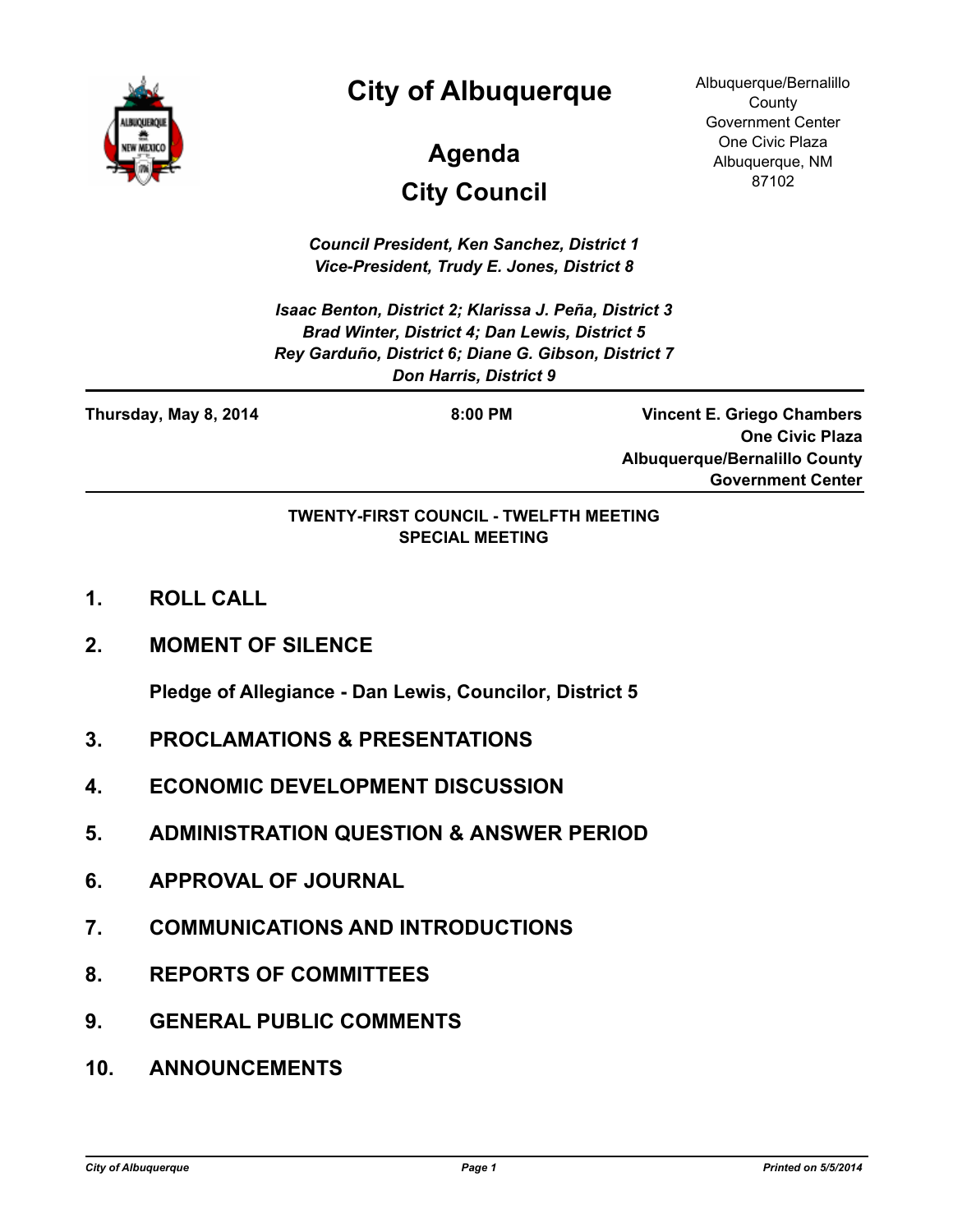

### **City of Albuquerque**

# **City Council Agenda**

Albuquerque/Bernalillo **County** Government Center One Civic Plaza Albuquerque, NM 87102

*Council President, Ken Sanchez, District 1 Vice-President, Trudy E. Jones, District 8*

*Isaac Benton, District 2; Klarissa J. Peña, District 3 Brad Winter, District 4; Dan Lewis, District 5 Rey Garduño, District 6; Diane G. Gibson, District 7 Don Harris, District 9*

**Thursday, May 8, 2014 8:00 PM**

**Vincent E. Griego Chambers One Civic Plaza Albuquerque/Bernalillo County Government Center**

#### **TWENTY-FIRST COUNCIL - TWELFTH MEETING SPECIAL MEETING**

- **1. ROLL CALL**
- **2. MOMENT OF SILENCE**

**Pledge of Allegiance - Dan Lewis, Councilor, District 5**

- **3. PROCLAMATIONS & PRESENTATIONS**
- **4. ECONOMIC DEVELOPMENT DISCUSSION**
- **5. ADMINISTRATION QUESTION & ANSWER PERIOD**
- **6. APPROVAL OF JOURNAL**
- **7. COMMUNICATIONS AND INTRODUCTIONS**
- **8. REPORTS OF COMMITTEES**
- **9. GENERAL PUBLIC COMMENTS**
- **10. ANNOUNCEMENTS**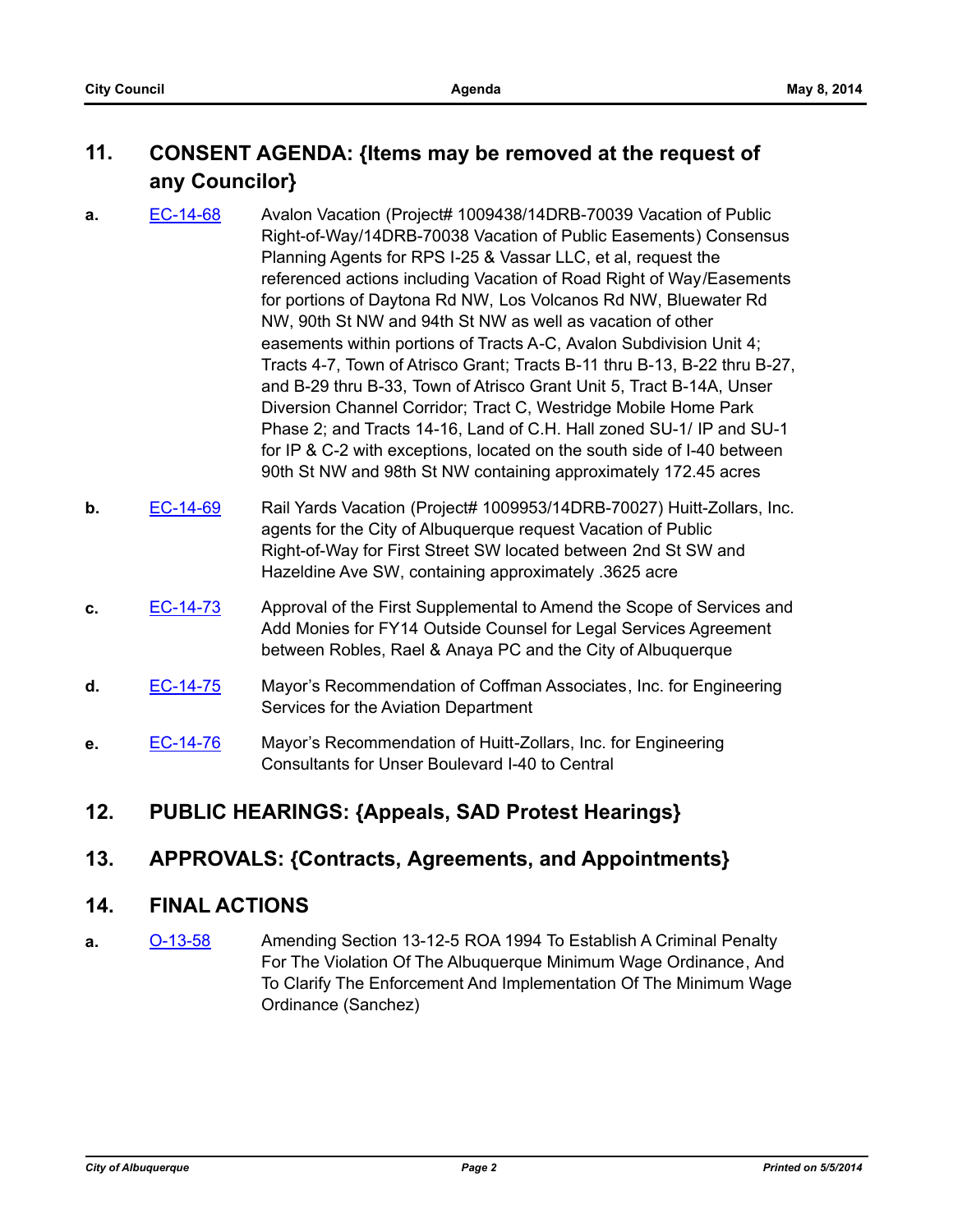### **11. CONSENT AGENDA: {Items may be removed at the request of any Councilor}**

- **a.** [EC-14-68](http://cabq.legistar.com/gateway.aspx?m=l&id=/matter.aspx?key=9170) Avalon Vacation (Project# 1009438/14DRB-70039 Vacation of Public Right-of-Way/14DRB-70038 Vacation of Public Easements) Consensus Planning Agents for RPS I-25 & Vassar LLC, et al, request the referenced actions including Vacation of Road Right of Way/Easements for portions of Daytona Rd NW, Los Volcanos Rd NW, Bluewater Rd NW, 90th St NW and 94th St NW as well as vacation of other easements within portions of Tracts A-C, Avalon Subdivision Unit 4; Tracts 4-7, Town of Atrisco Grant; Tracts B-11 thru B-13, B-22 thru B-27, and B-29 thru B-33, Town of Atrisco Grant Unit 5, Tract B-14A, Unser Diversion Channel Corridor; Tract C, Westridge Mobile Home Park Phase 2; and Tracts 14-16, Land of C.H. Hall zoned SU-1/ IP and SU-1 for IP & C-2 with exceptions, located on the south side of I-40 between 90th St NW and 98th St NW containing approximately 172.45 acres
- **b.** [EC-14-69](http://cabq.legistar.com/gateway.aspx?m=l&id=/matter.aspx?key=9171) Rail Yards Vacation (Project# 1009953/14DRB-70027) Huitt-Zollars, Inc. agents for the City of Albuquerque request Vacation of Public Right-of-Way for First Street SW located between 2nd St SW and Hazeldine Ave SW, containing approximately .3625 acre
- **c.** [EC-14-73](http://cabq.legistar.com/gateway.aspx?m=l&id=/matter.aspx?key=9175) Approval of the First Supplemental to Amend the Scope of Services and Add Monies for FY14 Outside Counsel for Legal Services Agreement between Robles, Rael & Anaya PC and the City of Albuquerque
- **d.** [EC-14-75](http://cabq.legistar.com/gateway.aspx?m=l&id=/matter.aspx?key=9177) Mayor's Recommendation of Coffman Associates, Inc. for Engineering Services for the Aviation Department
- **e.** [EC-14-76](http://cabq.legistar.com/gateway.aspx?m=l&id=/matter.aspx?key=9181) Mayor's Recommendation of Huitt-Zollars, Inc. for Engineering Consultants for Unser Boulevard I-40 to Central

#### **12. PUBLIC HEARINGS: {Appeals, SAD Protest Hearings}**

#### **13. APPROVALS: {Contracts, Agreements, and Appointments}**

#### **14. FINAL ACTIONS**

**a.** [O-13-58](http://cabq.legistar.com/gateway.aspx?m=l&id=/matter.aspx?key=8946) Amending Section 13-12-5 ROA 1994 To Establish A Criminal Penalty For The Violation Of The Albuquerque Minimum Wage Ordinance, And To Clarify The Enforcement And Implementation Of The Minimum Wage Ordinance (Sanchez)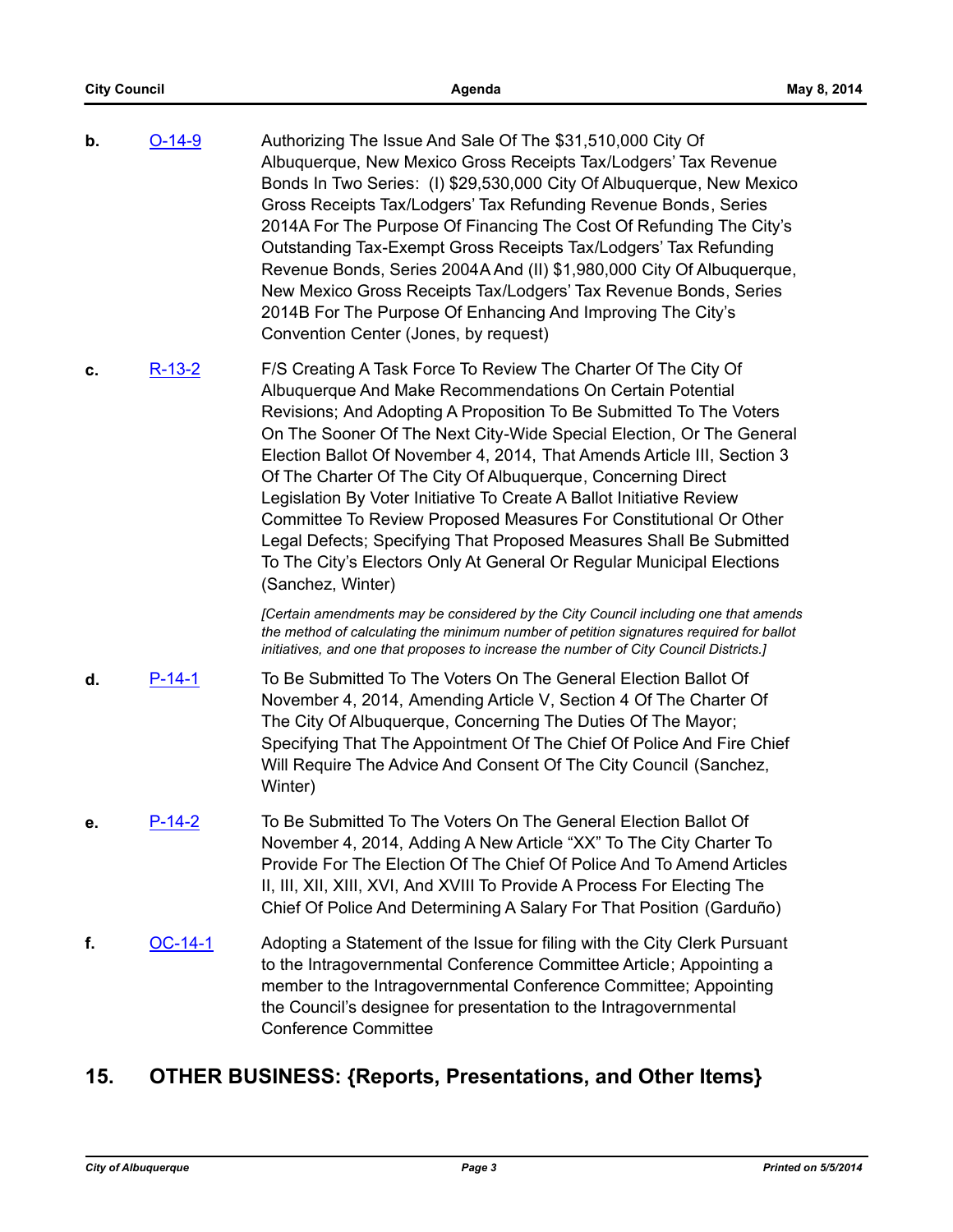| b. | $O-14-9$       | Authorizing The Issue And Sale Of The \$31,510,000 City Of<br>Albuquerque, New Mexico Gross Receipts Tax/Lodgers' Tax Revenue<br>Bonds In Two Series: (I) \$29,530,000 City Of Albuquerque, New Mexico<br>Gross Receipts Tax/Lodgers' Tax Refunding Revenue Bonds, Series<br>2014A For The Purpose Of Financing The Cost Of Refunding The City's<br>Outstanding Tax-Exempt Gross Receipts Tax/Lodgers' Tax Refunding<br>Revenue Bonds, Series 2004A And (II) \$1,980,000 City Of Albuquerque,<br>New Mexico Gross Receipts Tax/Lodgers' Tax Revenue Bonds, Series<br>2014B For The Purpose Of Enhancing And Improving The City's<br>Convention Center (Jones, by request)                                                               |
|----|----------------|-----------------------------------------------------------------------------------------------------------------------------------------------------------------------------------------------------------------------------------------------------------------------------------------------------------------------------------------------------------------------------------------------------------------------------------------------------------------------------------------------------------------------------------------------------------------------------------------------------------------------------------------------------------------------------------------------------------------------------------------|
| c. | $R-13-2$       | F/S Creating A Task Force To Review The Charter Of The City Of<br>Albuquerque And Make Recommendations On Certain Potential<br>Revisions; And Adopting A Proposition To Be Submitted To The Voters<br>On The Sooner Of The Next City-Wide Special Election, Or The General<br>Election Ballot Of November 4, 2014, That Amends Article III, Section 3<br>Of The Charter Of The City Of Albuquerque, Concerning Direct<br>Legislation By Voter Initiative To Create A Ballot Initiative Review<br>Committee To Review Proposed Measures For Constitutional Or Other<br>Legal Defects; Specifying That Proposed Measures Shall Be Submitted<br>To The City's Electors Only At General Or Regular Municipal Elections<br>(Sanchez, Winter) |
|    |                | [Certain amendments may be considered by the City Council including one that amends<br>the method of calculating the minimum number of petition signatures required for ballot<br>initiatives, and one that proposes to increase the number of City Council Districts.]                                                                                                                                                                                                                                                                                                                                                                                                                                                                 |
| d. | $P-14-1$       | To Be Submitted To The Voters On The General Election Ballot Of<br>November 4, 2014, Amending Article V, Section 4 Of The Charter Of<br>The City Of Albuquerque, Concerning The Duties Of The Mayor;<br>Specifying That The Appointment Of The Chief Of Police And Fire Chief<br>Will Require The Advice And Consent Of The City Council (Sanchez,<br>Winter)                                                                                                                                                                                                                                                                                                                                                                           |
| е. | $P-14-2$       | To Be Submitted To The Voters On The General Election Ballot Of<br>November 4, 2014, Adding A New Article "XX" To The City Charter To<br>Provide For The Election Of The Chief Of Police And To Amend Articles<br>II, III, XII, XIII, XVI, And XVIII To Provide A Process For Electing The<br>Chief Of Police And Determining A Salary For That Position (Garduño)                                                                                                                                                                                                                                                                                                                                                                      |
| f. | <u>OC-14-1</u> | Adopting a Statement of the Issue for filing with the City Clerk Pursuant<br>to the Intragovernmental Conference Committee Article; Appointing a<br>member to the Intragovernmental Conference Committee; Appointing<br>the Council's designee for presentation to the Intragovernmental<br><b>Conference Committee</b>                                                                                                                                                                                                                                                                                                                                                                                                                 |

## **15. OTHER BUSINESS: {Reports, Presentations, and Other Items}**